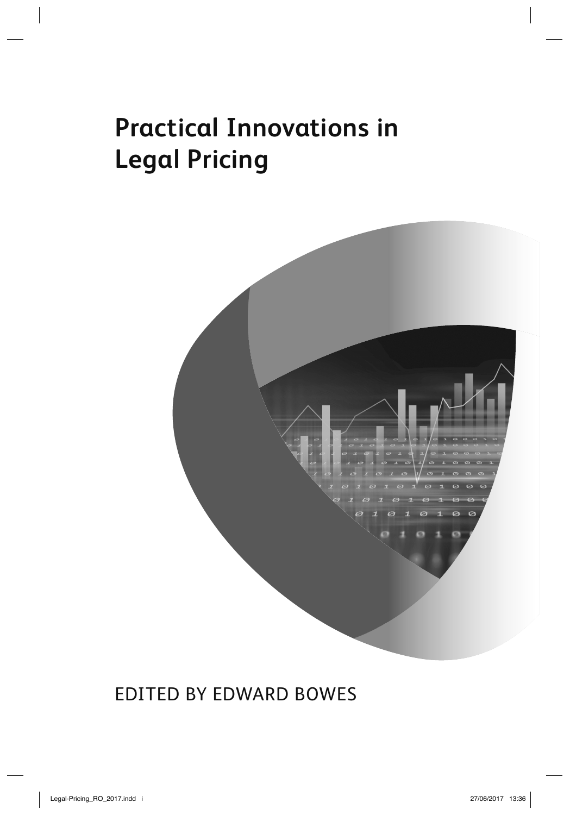# **Practical Innovations in Legal Pricing**



## EDITED BY EDWARD BOWES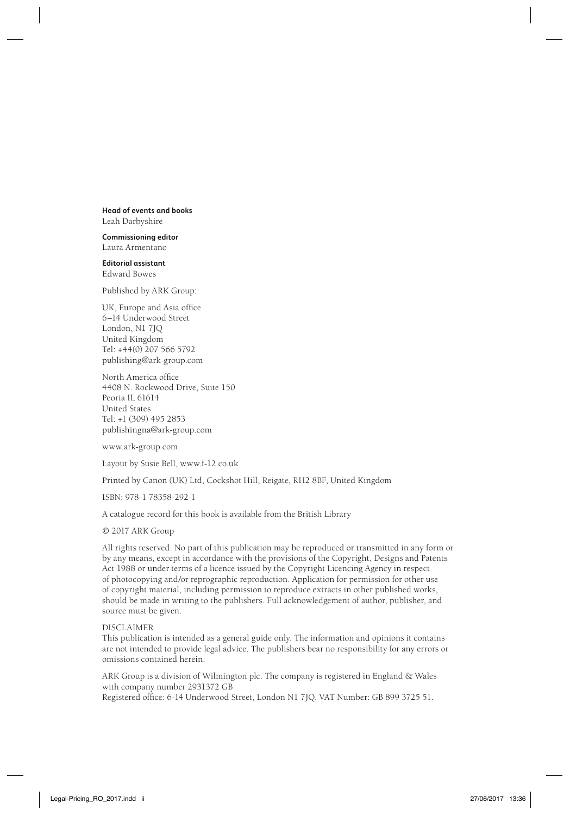**Head of events and books** Leah Darbyshire

**Commissioning editor** Laura Armentano

**Editorial assistant** Edward Bowes

Published by ARK Group:

UK, Europe and Asia office 6–14 Underwood Street London, N1 7JQ United Kingdom Tel: +44(0) 207 566 5792 publishing@ark-group.com

North America office 4408 N. Rockwood Drive, Suite 150 Peoria IL 61614 United States Tel: +1 (309) 495 2853 publishingna@ark-group.com

www.ark-group.com

Layout by Susie Bell, www.f-12.co.uk

Printed by Canon (UK) Ltd, Cockshot Hill, Reigate, RH2 8BF, United Kingdom

ISBN: 978-1-78358-292-1

A catalogue record for this book is available from the British Library

© 2017 ARK Group

All rights reserved. No part of this publication may be reproduced or transmitted in any form or by any means, except in accordance with the provisions of the Copyright, Designs and Patents Act 1988 or under terms of a licence issued by the Copyright Licencing Agency in respect of photocopying and/or reprographic reproduction. Application for permission for other use of copyright material, including permission to reproduce extracts in other published works, should be made in writing to the publishers. Full acknowledgement of author, publisher, and source must be given.

DISCLAIMER

This publication is intended as a general guide only. The information and opinions it contains are not intended to provide legal advice. The publishers bear no responsibility for any errors or omissions contained herein.

ARK Group is a division of Wilmington plc. The company is registered in England & Wales with company number 2931372 GB

Registered office: 6-14 Underwood Street, London N1 7JQ. VAT Number: GB 899 3725 51.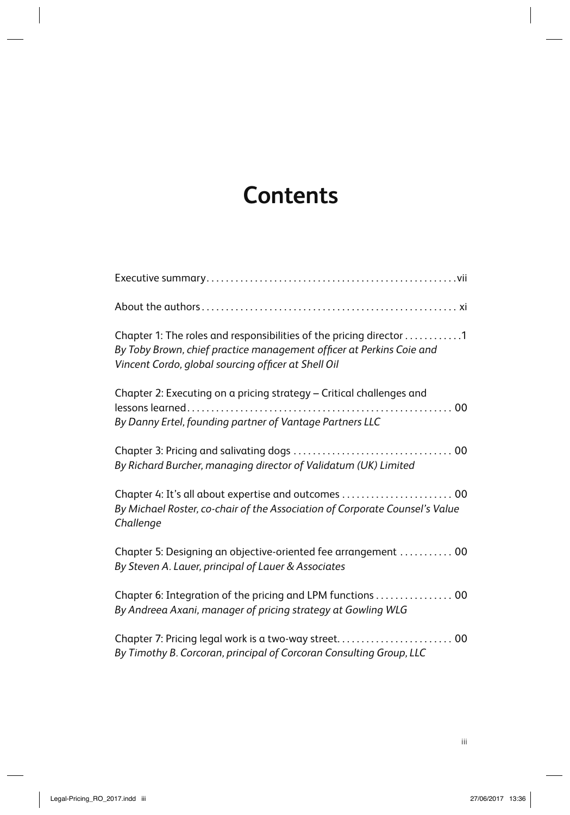## **Contents**

| Chapter 1: The roles and responsibilities of the pricing director 1<br>By Toby Brown, chief practice management officer at Perkins Coie and<br>Vincent Cordo, global sourcing officer at Shell Oil |
|----------------------------------------------------------------------------------------------------------------------------------------------------------------------------------------------------|
| Chapter 2: Executing on a pricing strategy - Critical challenges and<br>By Danny Ertel, founding partner of Vantage Partners LLC                                                                   |
| By Richard Burcher, managing director of Validatum (UK) Limited                                                                                                                                    |
| Chapter 4: It's all about expertise and outcomes  00<br>By Michael Roster, co-chair of the Association of Corporate Counsel's Value<br>Challenge                                                   |
| Chapter 5: Designing an objective-oriented fee arrangement  00<br>By Steven A. Lauer, principal of Lauer & Associates                                                                              |
| Chapter 6: Integration of the pricing and LPM functions  00<br>By Andreea Axani, manager of pricing strategy at Gowling WLG                                                                        |
| Chapter 7: Pricing legal work is a two-way street 00<br>By Timothy B. Corcoran, principal of Corcoran Consulting Group, LLC                                                                        |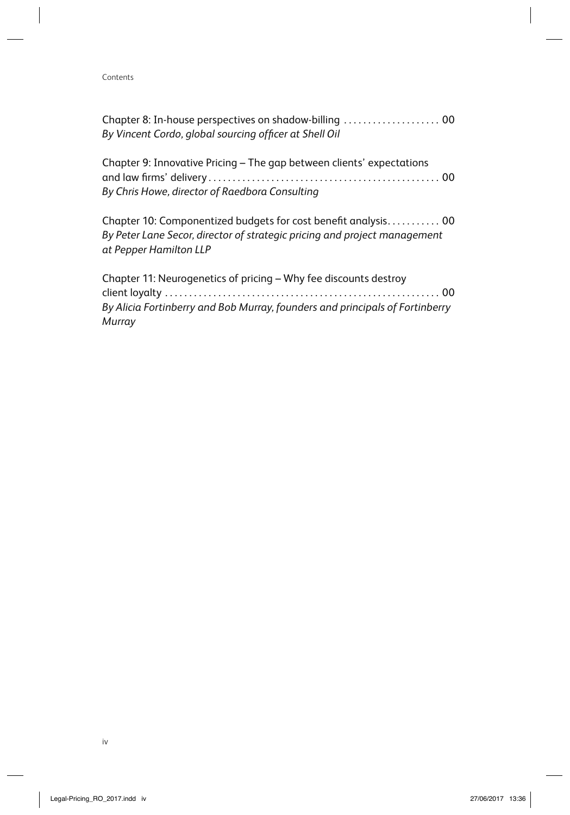#### Contents

| By Vincent Cordo, global sourcing officer at Shell Oil                                                                                                                |
|-----------------------------------------------------------------------------------------------------------------------------------------------------------------------|
| Chapter 9: Innovative Pricing - The gap between clients' expectations<br>By Chris Howe, director of Raedbora Consulting                                               |
| Chapter 10: Componentized budgets for cost benefit analysis 00<br>By Peter Lane Secor, director of strategic pricing and project management<br>at Pepper Hamilton LLP |
| Chapter 11: Neurogenetics of pricing – Why fee discounts destroy<br>By Alicia Fortinberry and Bob Murray, founders and principals of Fortinberry<br>Murray            |

 $\overline{\phantom{a}}$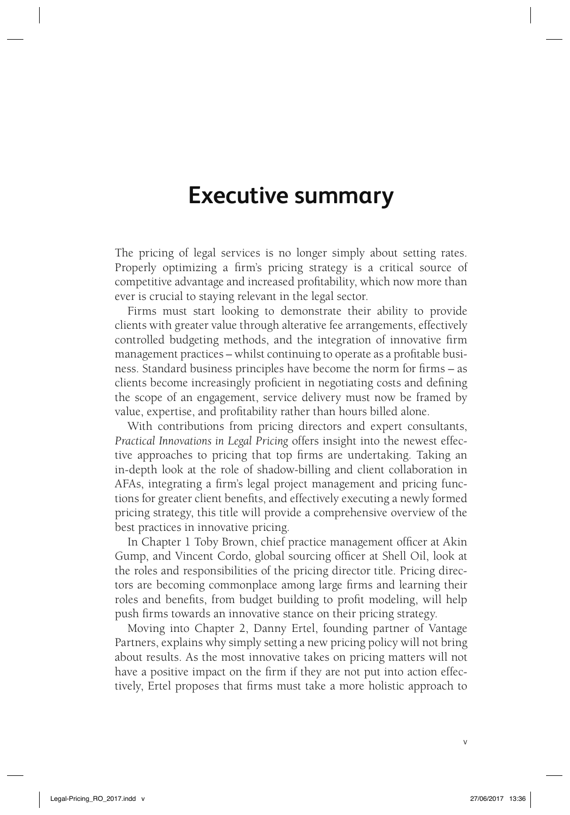## **Executive summary**

The pricing of legal services is no longer simply about setting rates. Properly optimizing a firm's pricing strategy is a critical source of competitive advantage and increased profitability, which now more than ever is crucial to staying relevant in the legal sector.

Firms must start looking to demonstrate their ability to provide clients with greater value through alterative fee arrangements, effectively controlled budgeting methods, and the integration of innovative firm management practices – whilst continuing to operate as a profitable business. Standard business principles have become the norm for firms – as clients become increasingly proficient in negotiating costs and defining the scope of an engagement, service delivery must now be framed by value, expertise, and profitability rather than hours billed alone.

With contributions from pricing directors and expert consultants, *Practical Innovations in Legal Pricing* offers insight into the newest effective approaches to pricing that top firms are undertaking. Taking an in-depth look at the role of shadow-billing and client collaboration in AFAs, integrating a firm's legal project management and pricing functions for greater client benefits, and effectively executing a newly formed pricing strategy, this title will provide a comprehensive overview of the best practices in innovative pricing.

In Chapter 1 Toby Brown, chief practice management officer at Akin Gump, and Vincent Cordo, global sourcing officer at Shell Oil, look at the roles and responsibilities of the pricing director title. Pricing directors are becoming commonplace among large firms and learning their roles and benefits, from budget building to profit modeling, will help push firms towards an innovative stance on their pricing strategy.

Moving into Chapter 2, Danny Ertel, founding partner of Vantage Partners, explains why simply setting a new pricing policy will not bring about results. As the most innovative takes on pricing matters will not have a positive impact on the firm if they are not put into action effectively, Ertel proposes that firms must take a more holistic approach to

v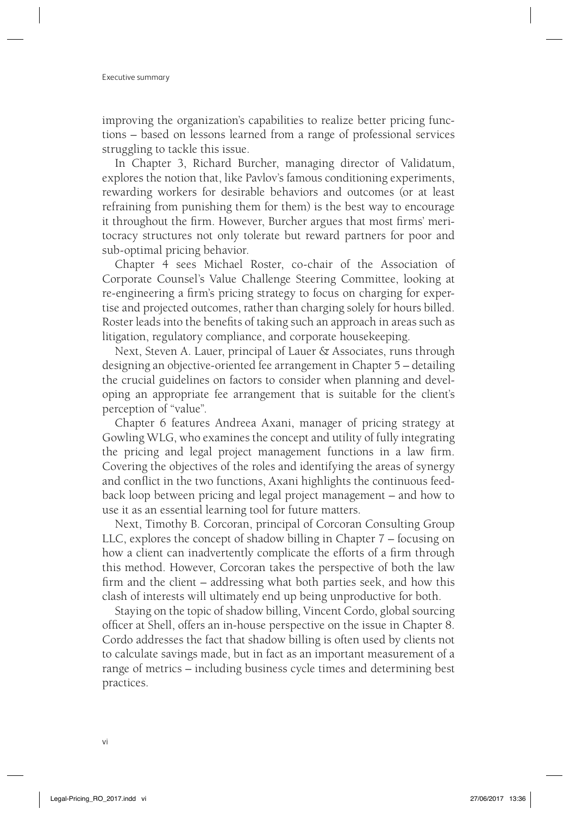improving the organization's capabilities to realize better pricing functions – based on lessons learned from a range of professional services struggling to tackle this issue.

In Chapter 3, Richard Burcher, managing director of Validatum, explores the notion that, like Pavlov's famous conditioning experiments, rewarding workers for desirable behaviors and outcomes (or at least refraining from punishing them for them) is the best way to encourage it throughout the firm. However, Burcher argues that most firms' meritocracy structures not only tolerate but reward partners for poor and sub-optimal pricing behavior.

Chapter 4 sees Michael Roster, co-chair of the Association of Corporate Counsel's Value Challenge Steering Committee, looking at re-engineering a firm's pricing strategy to focus on charging for expertise and projected outcomes, rather than charging solely for hours billed. Roster leads into the benefits of taking such an approach in areas such as litigation, regulatory compliance, and corporate housekeeping.

Next, Steven A. Lauer, principal of Lauer & Associates, runs through designing an objective-oriented fee arrangement in Chapter 5 – detailing the crucial guidelines on factors to consider when planning and developing an appropriate fee arrangement that is suitable for the client's perception of "value".

Chapter 6 features Andreea Axani, manager of pricing strategy at Gowling WLG, who examines the concept and utility of fully integrating the pricing and legal project management functions in a law firm. Covering the objectives of the roles and identifying the areas of synergy and conflict in the two functions, Axani highlights the continuous feedback loop between pricing and legal project management – and how to use it as an essential learning tool for future matters.

Next, Timothy B. Corcoran, principal of Corcoran Consulting Group LLC, explores the concept of shadow billing in Chapter 7 – focusing on how a client can inadvertently complicate the efforts of a firm through this method. However, Corcoran takes the perspective of both the law firm and the client – addressing what both parties seek, and how this clash of interests will ultimately end up being unproductive for both.

Staying on the topic of shadow billing, Vincent Cordo, global sourcing officer at Shell, offers an in-house perspective on the issue in Chapter 8. Cordo addresses the fact that shadow billing is often used by clients not to calculate savings made, but in fact as an important measurement of a range of metrics – including business cycle times and determining best practices.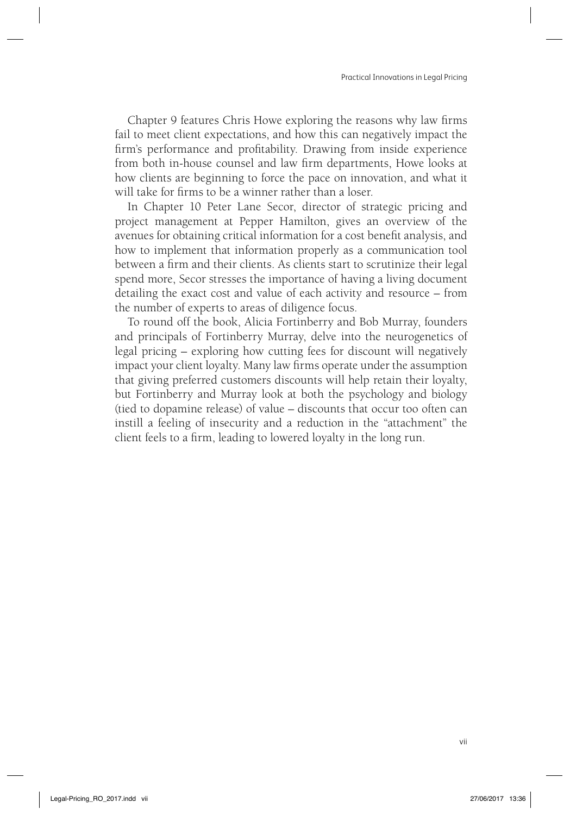Chapter 9 features Chris Howe exploring the reasons why law firms fail to meet client expectations, and how this can negatively impact the firm's performance and profitability. Drawing from inside experience from both in-house counsel and law firm departments, Howe looks at how clients are beginning to force the pace on innovation, and what it will take for firms to be a winner rather than a loser.

In Chapter 10 Peter Lane Secor, director of strategic pricing and project management at Pepper Hamilton, gives an overview of the avenues for obtaining critical information for a cost benefit analysis, and how to implement that information properly as a communication tool between a firm and their clients. As clients start to scrutinize their legal spend more, Secor stresses the importance of having a living document detailing the exact cost and value of each activity and resource – from the number of experts to areas of diligence focus.

To round off the book, Alicia Fortinberry and Bob Murray, founders and principals of Fortinberry Murray, delve into the neurogenetics of legal pricing – exploring how cutting fees for discount will negatively impact your client loyalty. Many law firms operate under the assumption that giving preferred customers discounts will help retain their loyalty, but Fortinberry and Murray look at both the psychology and biology (tied to dopamine release) of value – discounts that occur too often can instill a feeling of insecurity and a reduction in the "attachment" the client feels to a firm, leading to lowered loyalty in the long run.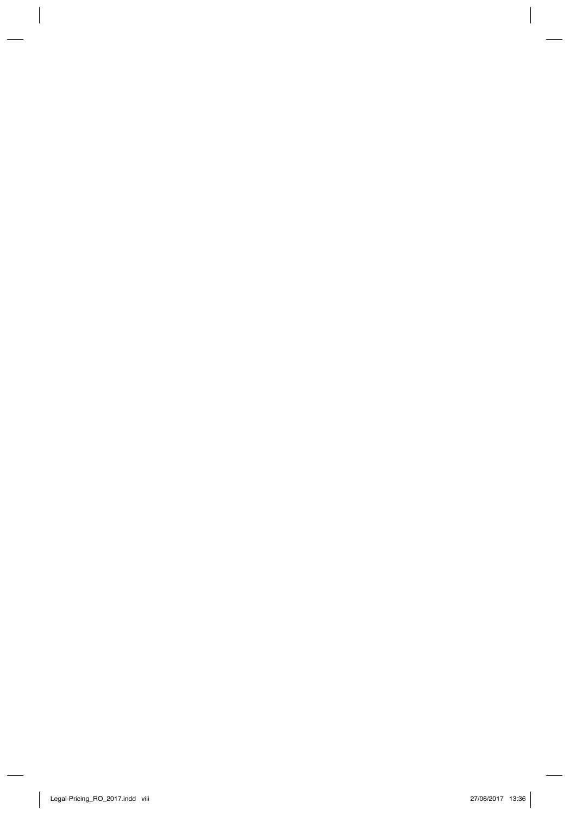$\overline{\phantom{a}}$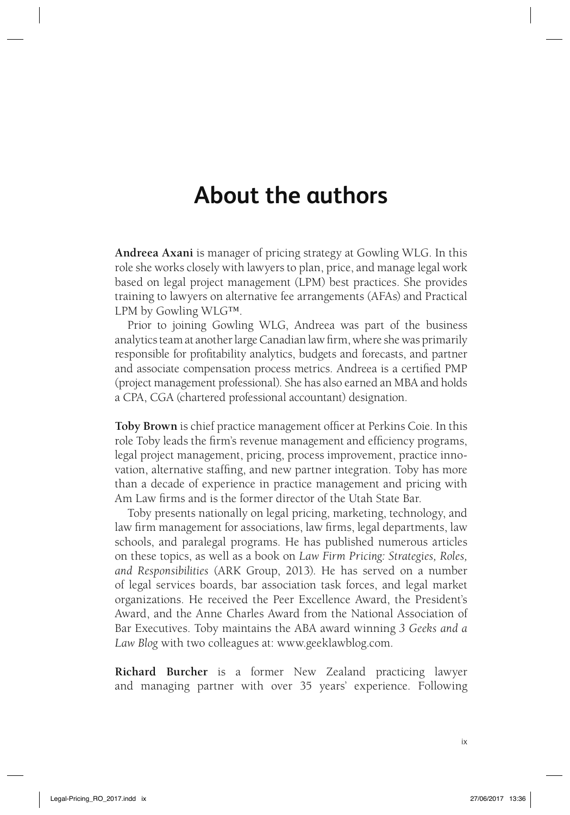## **About the authors**

**Andreea Axani** is manager of pricing strategy at Gowling WLG. In this role she works closely with lawyers to plan, price, and manage legal work based on legal project management (LPM) best practices. She provides training to lawyers on alternative fee arrangements (AFAs) and Practical LPM by Gowling WLG™.

Prior to joining Gowling WLG, Andreea was part of the business analytics team at another large Canadian law firm, where she was primarily responsible for profitability analytics, budgets and forecasts, and partner and associate compensation process metrics. Andreea is a certified PMP (project management professional). She has also earned an MBA and holds a CPA, CGA (chartered professional accountant) designation.

**Toby Brown** is chief practice management officer at Perkins Coie. In this role Toby leads the firm's revenue management and efficiency programs, legal project management, pricing, process improvement, practice innovation, alternative staffing, and new partner integration. Toby has more than a decade of experience in practice management and pricing with Am Law firms and is the former director of the Utah State Bar.

Toby presents nationally on legal pricing, marketing, technology, and law firm management for associations, law firms, legal departments, law schools, and paralegal programs. He has published numerous articles on these topics, as well as a book on *Law Firm Pricing: Strategies, Roles, and Responsibilities* (ARK Group, 2013). He has served on a number of legal services boards, bar association task forces, and legal market organizations. He received the Peer Excellence Award, the President's Award, and the Anne Charles Award from the National Association of Bar Executives. Toby maintains the ABA award winning *3 Geeks and a Law Blog* with two colleagues at: www.geeklawblog.com.

**Richard Burcher** is a former New Zealand practicing lawyer and managing partner with over 35 years' experience. Following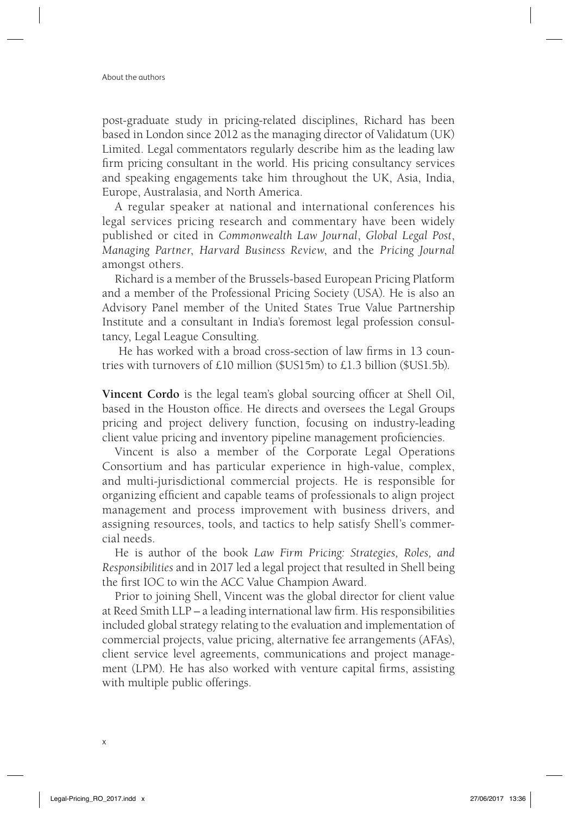post-graduate study in pricing-related disciplines, Richard has been based in London since 2012 as the managing director of Validatum (UK) Limited. Legal commentators regularly describe him as the leading law firm pricing consultant in the world. His pricing consultancy services and speaking engagements take him throughout the UK, Asia, India, Europe, Australasia, and North America.

A regular speaker at national and international conferences his legal services pricing research and commentary have been widely published or cited in *Commonwealth Law Journal*, *Global Legal Post*, *Managing Partner*, *Harvard Business Review*, and the *Pricing Journal*  amongst others.

Richard is a member of the Brussels-based European Pricing Platform and a member of the Professional Pricing Society (USA). He is also an Advisory Panel member of the United States True Value Partnership Institute and a consultant in India's foremost legal profession consultancy, Legal League Consulting.

He has worked with a broad cross-section of law firms in 13 countries with turnovers of £10 million (\$US15m) to £1.3 billion (\$US1.5b).

**Vincent Cordo** is the legal team's global sourcing officer at Shell Oil, based in the Houston office. He directs and oversees the Legal Groups pricing and project delivery function, focusing on industry-leading client value pricing and inventory pipeline management proficiencies.

Vincent is also a member of the Corporate Legal Operations Consortium and has particular experience in high-value, complex, and multi-jurisdictional commercial projects. He is responsible for organizing efficient and capable teams of professionals to align project management and process improvement with business drivers, and assigning resources, tools, and tactics to help satisfy Shell's commercial needs.

He is author of the book *Law Firm Pricing: Strategies, Roles, and Responsibilities* and in 2017 led a legal project that resulted in Shell being the first IOC to win the ACC Value Champion Award.

Prior to joining Shell, Vincent was the global director for client value at Reed Smith LLP – a leading international law firm. His responsibilities included global strategy relating to the evaluation and implementation of commercial projects, value pricing, alternative fee arrangements (AFAs), client service level agreements, communications and project management (LPM). He has also worked with venture capital firms, assisting with multiple public offerings.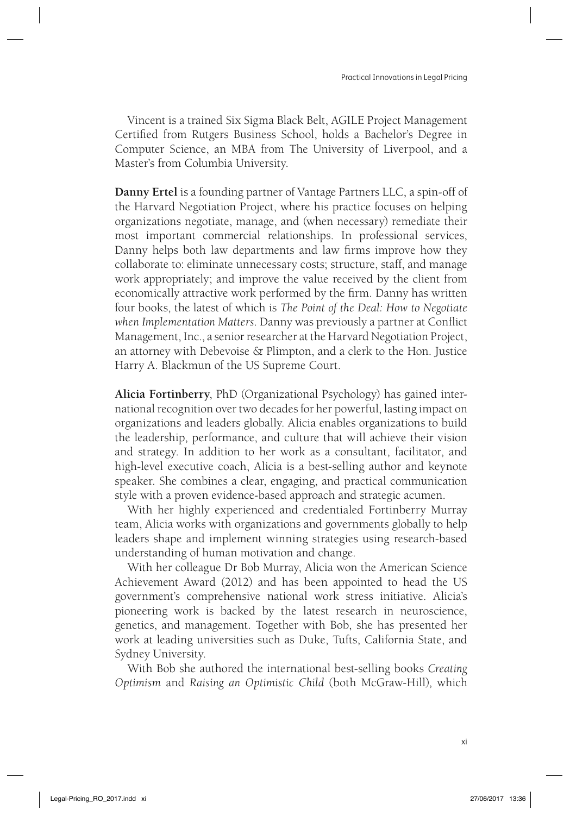Vincent is a trained Six Sigma Black Belt, AGILE Project Management Certified from Rutgers Business School, holds a Bachelor's Degree in Computer Science, an MBA from The University of Liverpool, and a Master's from Columbia University.

**Danny Ertel** is a founding partner of Vantage Partners LLC, a spin-off of the Harvard Negotiation Project, where his practice focuses on helping organizations negotiate, manage, and (when necessary) remediate their most important commercial relationships. In professional services, Danny helps both law departments and law firms improve how they collaborate to: eliminate unnecessary costs; structure, staff, and manage work appropriately; and improve the value received by the client from economically attractive work performed by the firm. Danny has written four books, the latest of which is *The Point of the Deal: How to Negotiate*  when Implementation Matters. Danny was previously a partner at Conflict Management, Inc., a senior researcher at the Harvard Negotiation Project, an attorney with Debevoise & Plimpton, and a clerk to the Hon. Justice Harry A. Blackmun of the US Supreme Court.

**Alicia Fortinberry**, PhD (Organizational Psychology) has gained international recognition over two decades for her powerful, lasting impact on organizations and leaders globally. Alicia enables organizations to build the leadership, performance, and culture that will achieve their vision and strategy. In addition to her work as a consultant, facilitator, and high-level executive coach, Alicia is a best-selling author and keynote speaker. She combines a clear, engaging, and practical communication style with a proven evidence-based approach and strategic acumen.

With her highly experienced and credentialed Fortinberry Murray team, Alicia works with organizations and governments globally to help leaders shape and implement winning strategies using research-based understanding of human motivation and change.

With her colleague Dr Bob Murray, Alicia won the American Science Achievement Award (2012) and has been appointed to head the US government's comprehensive national work stress initiative. Alicia's pioneering work is backed by the latest research in neuroscience, genetics, and management. Together with Bob, she has presented her work at leading universities such as Duke, Tufts, California State, and Sydney University.

With Bob she authored the international best-selling books *Creating Optimism* and *Raising an Optimistic Child* (both McGraw-Hill), which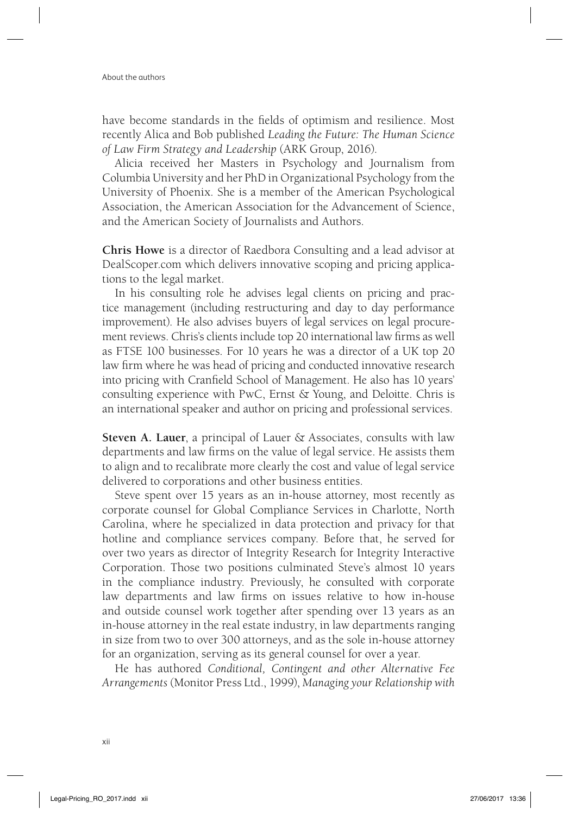have become standards in the fields of optimism and resilience. Most recently Alica and Bob published *Leading the Future: The Human Science of Law Firm Strategy and Leadership* (ARK Group, 2016).

Alicia received her Masters in Psychology and Journalism from Columbia University and her PhD in Organizational Psychology from the University of Phoenix. She is a member of the American Psychological Association, the American Association for the Advancement of Science, and the American Society of Journalists and Authors.

**Chris Howe** is a director of Raedbora Consulting and a lead advisor at DealScoper.com which delivers innovative scoping and pricing applications to the legal market.

In his consulting role he advises legal clients on pricing and practice management (including restructuring and day to day performance improvement). He also advises buyers of legal services on legal procurement reviews. Chris's clients include top 20 international law firms as well as FTSE 100 businesses. For 10 years he was a director of a UK top 20 law firm where he was head of pricing and conducted innovative research into pricing with Cranfield School of Management. He also has 10 years' consulting experience with PwC, Ernst & Young, and Deloitte. Chris is an international speaker and author on pricing and professional services.

**Steven A. Lauer**, a principal of Lauer & Associates, consults with law departments and law firms on the value of legal service. He assists them to align and to recalibrate more clearly the cost and value of legal service delivered to corporations and other business entities.

Steve spent over 15 years as an in-house attorney, most recently as corporate counsel for Global Compliance Services in Charlotte, North Carolina, where he specialized in data protection and privacy for that hotline and compliance services company. Before that, he served for over two years as director of Integrity Research for Integrity Interactive Corporation. Those two positions culminated Steve's almost 10 years in the compliance industry. Previously, he consulted with corporate law departments and law firms on issues relative to how in-house and outside counsel work together after spending over 13 years as an in-house attorney in the real estate industry, in law departments ranging in size from two to over 300 attorneys, and as the sole in-house attorney for an organization, serving as its general counsel for over a year.

He has authored *Conditional, Contingent and other Alternative Fee Arrangements* (Monitor Press Ltd., 1999), *Managing your Relationship with*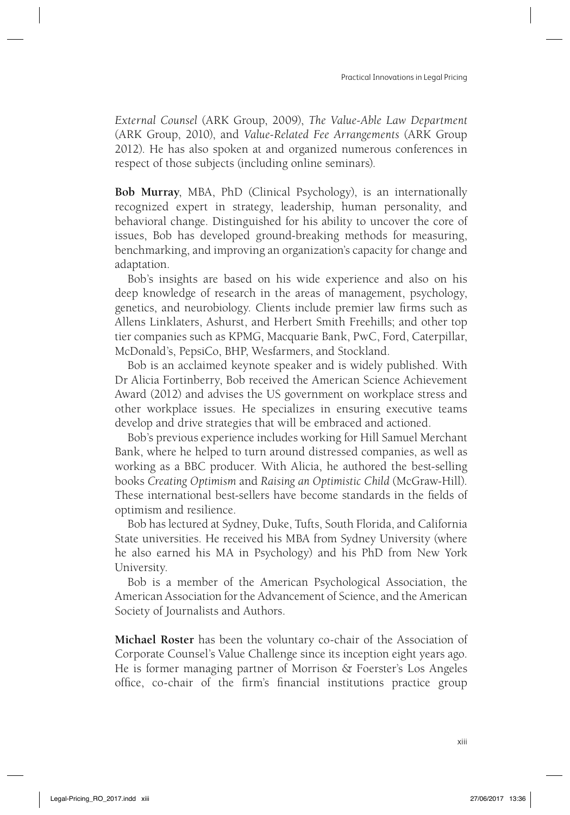*External Counsel* (ARK Group, 2009), *The Value-Able Law Department*  (ARK Group, 2010), and *Value-Related Fee Arrangements* (ARK Group 2012). He has also spoken at and organized numerous conferences in respect of those subjects (including online seminars).

**Bob Murray**, MBA, PhD (Clinical Psychology), is an internationally recognized expert in strategy, leadership, human personality, and behavioral change. Distinguished for his ability to uncover the core of issues, Bob has developed ground-breaking methods for measuring, benchmarking, and improving an organization's capacity for change and adaptation.

Bob's insights are based on his wide experience and also on his deep knowledge of research in the areas of management, psychology, genetics, and neurobiology. Clients include premier law firms such as Allens Linklaters, Ashurst, and Herbert Smith Freehills; and other top tier companies such as KPMG, Macquarie Bank, PwC, Ford, Caterpillar, McDonald's, PepsiCo, BHP, Wesfarmers, and Stockland.

Bob is an acclaimed keynote speaker and is widely published. With Dr Alicia Fortinberry, Bob received the American Science Achievement Award (2012) and advises the US government on workplace stress and other workplace issues. He specializes in ensuring executive teams develop and drive strategies that will be embraced and actioned.

Bob's previous experience includes working for Hill Samuel Merchant Bank, where he helped to turn around distressed companies, as well as working as a BBC producer. With Alicia, he authored the best-selling books *Creating Optimism* and *Raising an Optimistic Child* (McGraw-Hill). These international best-sellers have become standards in the fields of optimism and resilience.

Bob has lectured at Sydney, Duke, Tufts, South Florida, and California State universities. He received his MBA from Sydney University (where he also earned his MA in Psychology) and his PhD from New York University.

Bob is a member of the American Psychological Association, the American Association for the Advancement of Science, and the American Society of Journalists and Authors.

**Michael Roster** has been the voluntary co-chair of the Association of Corporate Counsel's Value Challenge since its inception eight years ago. He is former managing partner of Morrison & Foerster's Los Angeles office, co-chair of the firm's financial institutions practice group